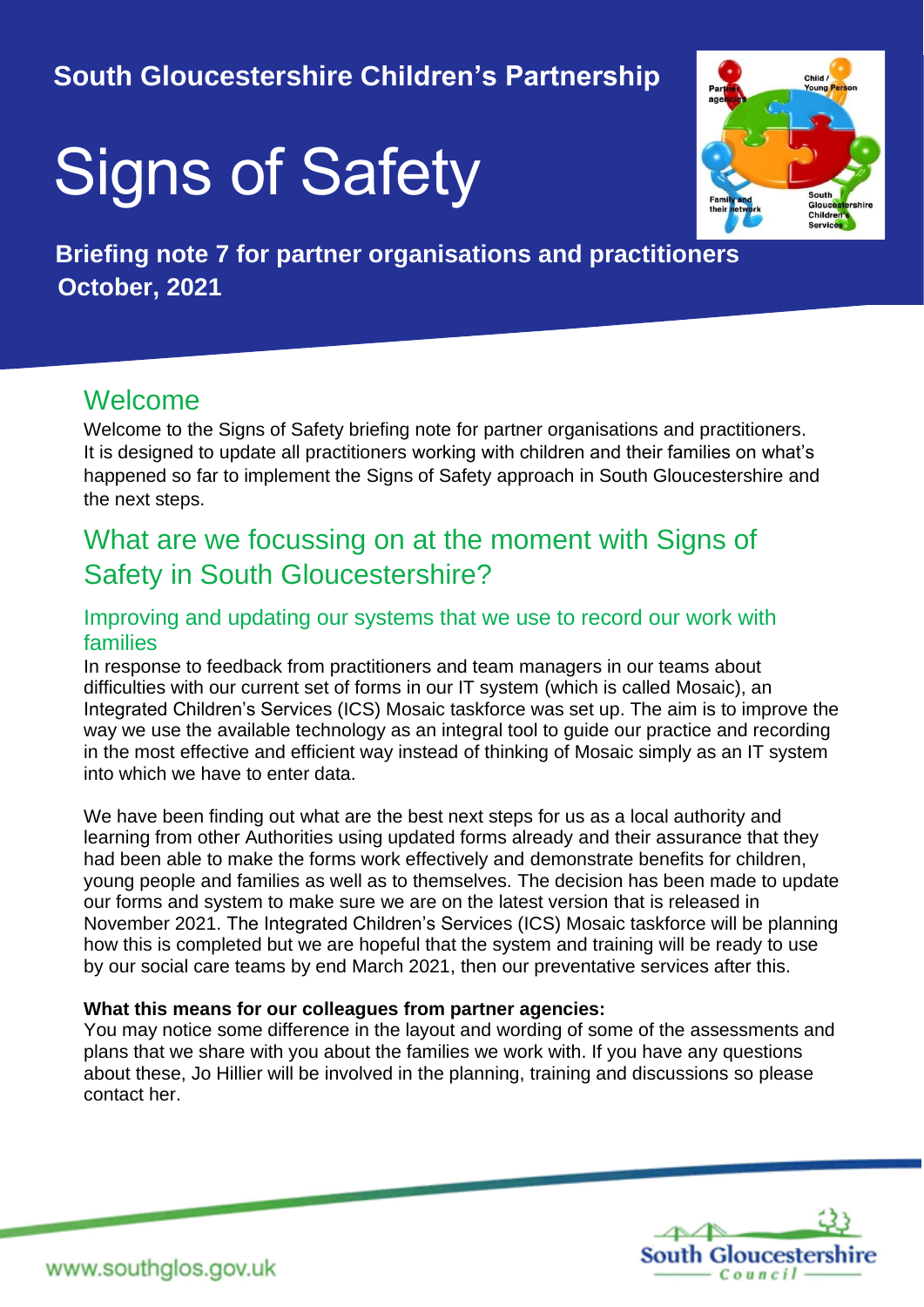# **South Gloucestershire Children's Partnership**

# Signs of Safety



 **Briefing note 7 for partner organisations and practitioners October, 2021**

# Welcome

Welcome to the Signs of Safety briefing note for partner organisations and practitioners. It is designed to update all practitioners working with children and their families on what's happened so far to implement the Signs of Safety approach in South Gloucestershire and the next steps.

# What are we focussing on at the moment with Signs of Safety in South Gloucestershire?

## Improving and updating our systems that we use to record our work with families

In response to feedback from practitioners and team managers in our teams about difficulties with our current set of forms in our IT system (which is called Mosaic), an Integrated Children's Services (ICS) Mosaic taskforce was set up. The aim is to improve the way we use the available technology as an integral tool to guide our practice and recording in the most effective and efficient way instead of thinking of Mosaic simply as an IT system into which we have to enter data.

We have been finding out what are the best next steps for us as a local authority and learning from other Authorities using updated forms already and their assurance that they had been able to make the forms work effectively and demonstrate benefits for children, young people and families as well as to themselves. The decision has been made to update our forms and system to make sure we are on the latest version that is released in November 2021. The Integrated Children's Services (ICS) Mosaic taskforce will be planning how this is completed but we are hopeful that the system and training will be ready to use by our social care teams by end March 2021, then our preventative services after this.

## **What this means for our colleagues from partner agencies:**

You may notice some difference in the layout and wording of some of the assessments and plans that we share with you about the families we work with. If you have any questions about these, Jo Hillier will be involved in the planning, training and discussions so please contact her.

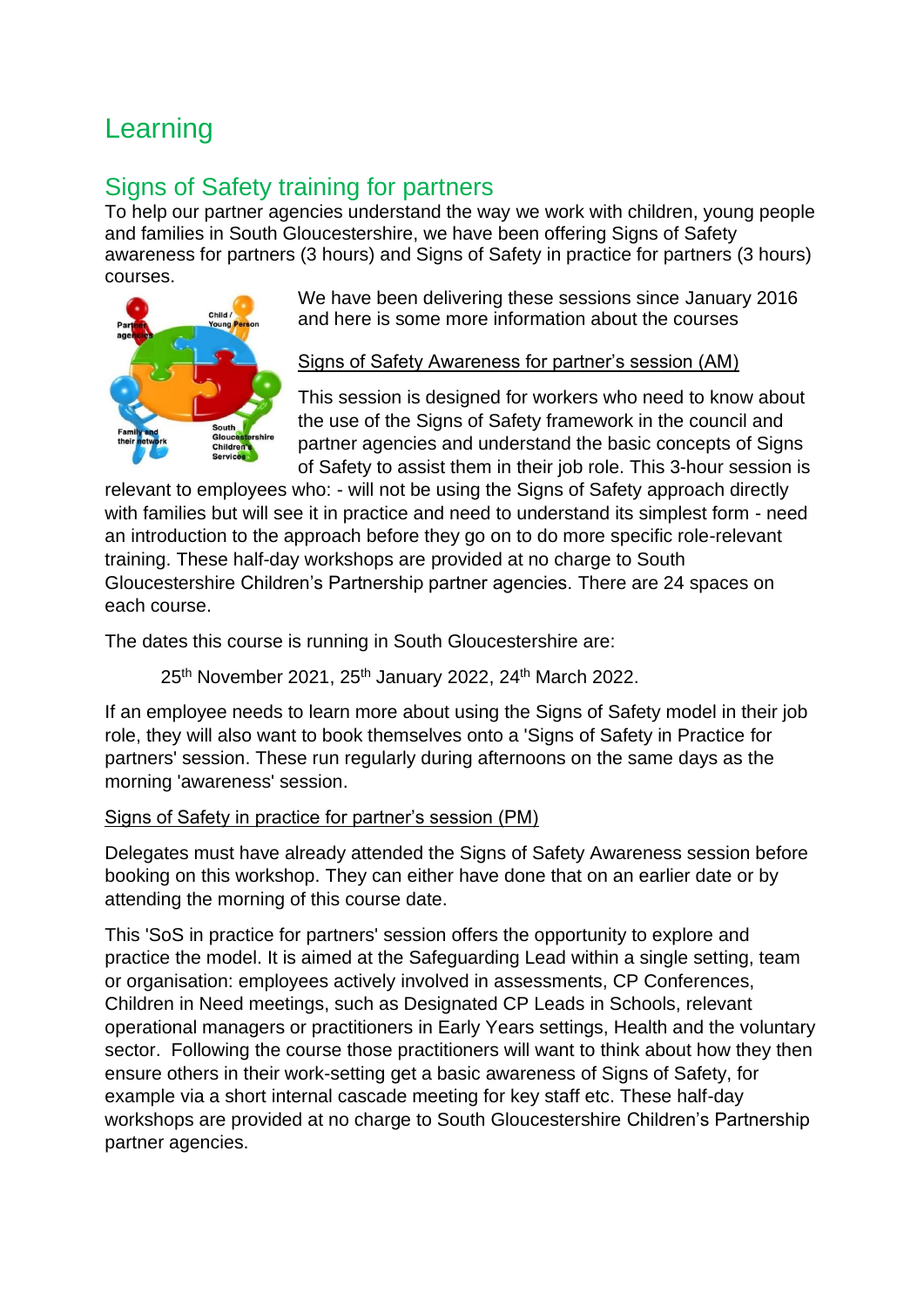# Learning

## Signs of Safety training for partners

To help our partner agencies understand the way we work with children, young people and families in South Gloucestershire, we have been offering Signs of Safety awareness for partners (3 hours) and Signs of Safety in practice for partners (3 hours) courses.



We have been delivering these sessions since January 2016 and here is some more information about the courses

Signs of Safety Awareness for partner's session (AM)

This session is designed for workers who need to know about the use of the Signs of Safety framework in the council and partner agencies and understand the basic concepts of Signs of Safety to assist them in their job role. This 3-hour session is

relevant to employees who: - will not be using the Signs of Safety approach directly with families but will see it in practice and need to understand its simplest form - need an introduction to the approach before they go on to do more specific role-relevant training. These half-day workshops are provided at no charge to South Gloucestershire Children's Partnership partner agencies. There are 24 spaces on each course.

The dates this course is running in South Gloucestershire are:

25<sup>th</sup> November 2021, 25<sup>th</sup> January 2022, 24<sup>th</sup> March 2022.

If an employee needs to learn more about using the Signs of Safety model in their job role, they will also want to book themselves onto a 'Signs of Safety in Practice for partners' session. These run regularly during afternoons on the same days as the morning 'awareness' session.

## Signs of Safety in practice for partner's session (PM)

Delegates must have already attended the Signs of Safety Awareness session before booking on this workshop. They can either have done that on an earlier date or by attending the morning of this course date.

This 'SoS in practice for partners' session offers the opportunity to explore and practice the model. It is aimed at the Safeguarding Lead within a single setting, team or organisation: employees actively involved in assessments, CP Conferences, Children in Need meetings, such as Designated CP Leads in Schools, relevant operational managers or practitioners in Early Years settings, Health and the voluntary sector. Following the course those practitioners will want to think about how they then ensure others in their work-setting get a basic awareness of Signs of Safety, for example via a short internal cascade meeting for key staff etc. These half-day workshops are provided at no charge to South Gloucestershire Children's Partnership partner agencies.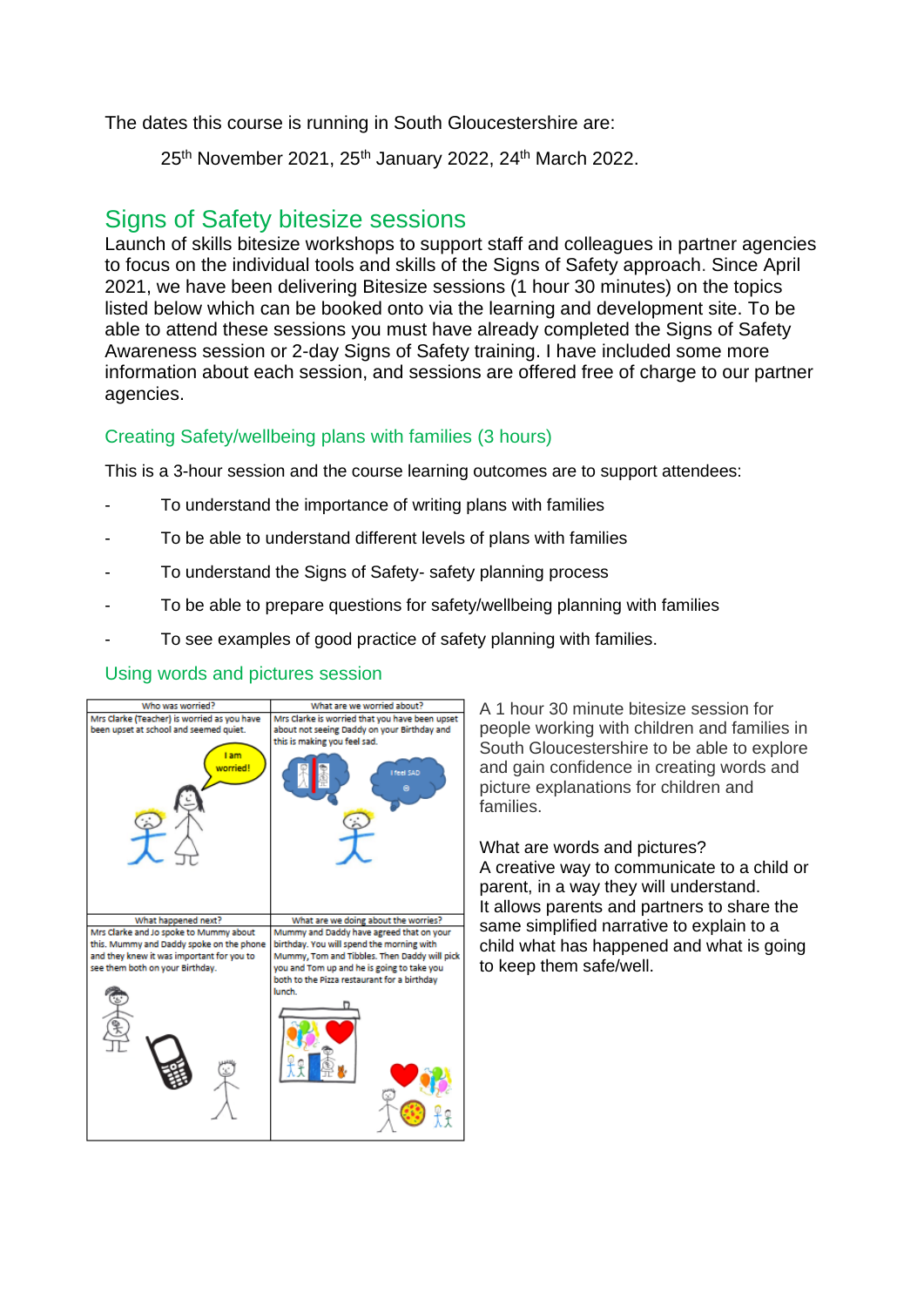The dates this course is running in South Gloucestershire are:

25<sup>th</sup> November 2021, 25<sup>th</sup> January 2022, 24<sup>th</sup> March 2022.

## Signs of Safety bitesize sessions

Launch of skills bitesize workshops to support staff and colleagues in partner agencies to focus on the individual tools and skills of the Signs of Safety approach. Since April 2021, we have been delivering Bitesize sessions (1 hour 30 minutes) on the topics listed below which can be booked onto via the learning and development site. To be able to attend these sessions you must have already completed the Signs of Safety Awareness session or 2-day Signs of Safety training. I have included some more information about each session, and sessions are offered free of charge to our partner agencies.

#### Creating Safety/wellbeing plans with families (3 hours)

This is a 3-hour session and the course learning outcomes are to support attendees:

- To understand the importance of writing plans with families
- To be able to understand different levels of plans with families
- To understand the Signs of Safety- safety planning process
- To be able to prepare questions for safety/wellbeing planning with families
- To see examples of good practice of safety planning with families.

#### Using words and pictures session



A 1 hour 30 minute bitesize session for people working with children and families in South Gloucestershire to be able to explore and gain confidence in creating words and picture explanations for children and families.

What are words and pictures? A creative way to communicate to a child or parent, in a way they will understand. It allows parents and partners to share the same simplified narrative to explain to a child what has happened and what is going to keep them safe/well.